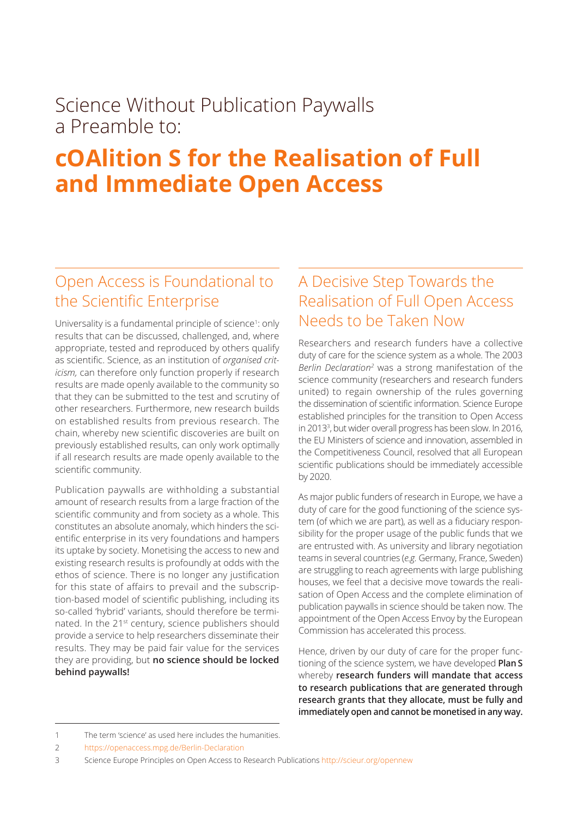## Science Without Publication Paywalls a Preamble to:

# **cOAlition S for the Realisation of Full and Immediate Open Access**

#### Open Access is Foundational to the Scientific Enterprise

Universality is a fundamental principle of science<sup>1</sup>: only results that can be discussed, challenged, and, where appropriate, tested and reproduced by others qualify as scientific. Science, as an institution of *organised criticism,* can therefore only function properly if research results are made openly available to the community so that they can be submitted to the test and scrutiny of other researchers. Furthermore, new research builds on established results from previous research. The chain, whereby new scientific discoveries are built on previously established results, can only work optimally if all research results are made openly available to the scientific community.

Publication paywalls are withholding a substantial amount of research results from a large fraction of the scientific community and from society as a whole. This constitutes an absolute anomaly, which hinders the scientific enterprise in its very foundations and hampers its uptake by society. Monetising the access to new and existing research results is profoundly at odds with the ethos of science. There is no longer any justification for this state of affairs to prevail and the subscription-based model of scientific publishing, including its so-called 'hybrid' variants, should therefore be terminated. In the 21<sup>st</sup> century, science publishers should provide a service to help researchers disseminate their results. They may be paid fair value for the services they are providing, but **no science should be locked behind paywalls!** 

### A Decisive Step Towards the Realisation of Full Open Access Needs to be Taken Now

Researchers and research funders have a collective duty of care for the science system as a whole. The 2003 Berlin Declaration<sup>2</sup> was a strong manifestation of the science community (researchers and research funders united) to regain ownership of the rules governing the dissemination of scientific information. Science Europe established principles for the transition to Open Access in 2013<sup>3</sup> , but wider overall progress has been slow. In 2016, the EU Ministers of science and innovation, assembled in the Competitiveness Council, resolved that all European scientific publications should be immediately accessible by 2020.

As major public funders of research in Europe, we have a duty of care for the good functioning of the science system (of which we are part), as well as a fiduciary responsibility for the proper usage of the public funds that we are entrusted with. As university and library negotiation teams in several countries (*e.g.* Germany, France, Sweden) are struggling to reach agreements with large publishing houses, we feel that a decisive move towards the realisation of Open Access and the complete elimination of publication paywalls in science should be taken now. The appointment of the Open Access Envoy by the European Commission has accelerated this process.

Hence, driven by our duty of care for the proper functioning of the science system, we have developed **Plan S** whereby **research funders will mandate that access to research publications that are generated through research grants that they allocate, must be fully and immediately open and cannot be monetised in any way.**

<sup>1</sup> The term 'science' as used here includes the humanities.

<sup>2</sup> https://openaccess.mpg.de/Berlin-Declaration

<sup>3</sup> Science Europe Principles on Open Access to Research Publications http://scieur.org/opennew